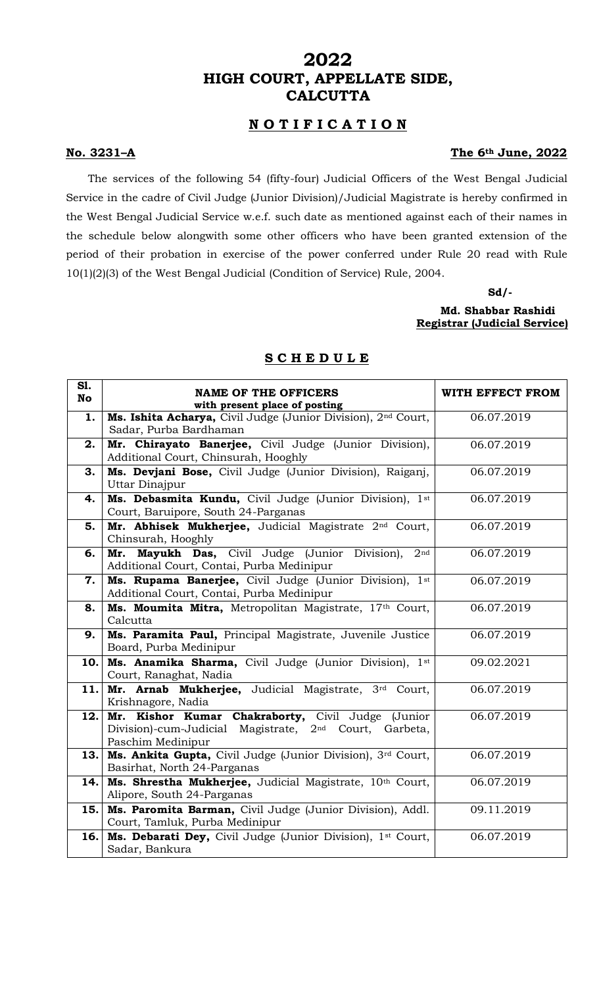# **2022 HIGH COURT, APPELLATE SIDE, CALCUTTA**

## **N O T I F I C A T I O N**

### **No. 3231–A The 6th June, 2022**

The services of the following 54 (fifty-four) Judicial Officers of the West Bengal Judicial Service in the cadre of Civil Judge (Junior Division)/Judicial Magistrate is hereby confirmed in the West Bengal Judicial Service w.e.f. such date as mentioned against each of their names in the schedule below alongwith some other officers who have been granted extension of the period of their probation in exercise of the power conferred under Rule 20 read with Rule 10(1)(2)(3) of the West Bengal Judicial (Condition of Service) Rule, 2004.

> **Sd/- Md. Shabbar Rashidi Registrar (Judicial Service)**

| S1.<br>No | <b>NAME OF THE OFFICERS</b><br>with present place of posting                                                                                 | WITH EFFECT FROM |
|-----------|----------------------------------------------------------------------------------------------------------------------------------------------|------------------|
| 1.        | Ms. Ishita Acharya, Civil Judge (Junior Division), 2 <sup>nd</sup> Court,<br>Sadar, Purba Bardhaman                                          | 06.07.2019       |
| 2.        | Mr. Chirayato Banerjee, Civil Judge (Junior Division),<br>Additional Court, Chinsurah, Hooghly                                               | 06.07.2019       |
| 3.        | Ms. Devjani Bose, Civil Judge (Junior Division), Raiganj,<br>Uttar Dinajpur                                                                  | 06.07.2019       |
| 4.        | Ms. Debasmita Kundu, Civil Judge (Junior Division), 1st<br>Court, Baruipore, South 24-Parganas                                               | 06.07.2019       |
| 5.        | Mr. Abhisek Mukherjee, Judicial Magistrate 2 <sup>nd</sup> Court,<br>Chinsurah, Hooghly                                                      | 06.07.2019       |
| 6.        | Mr. Mayukh Das, Civil Judge (Junior Division),<br>2 <sub>nd</sub><br>Additional Court, Contai, Purba Medinipur                               | 06.07.2019       |
| 7.        | Ms. Rupama Banerjee, Civil Judge (Junior Division), 1st<br>Additional Court, Contai, Purba Medinipur                                         | 06.07.2019       |
| 8.        | Ms. Moumita Mitra, Metropolitan Magistrate, 17th Court,<br>Calcutta                                                                          | 06.07.2019       |
| 9.        | Ms. Paramita Paul, Principal Magistrate, Juvenile Justice<br>Board, Purba Medinipur                                                          | 06.07.2019       |
| 10.       | Ms. Anamika Sharma, Civil Judge (Junior Division), 1st<br>Court, Ranaghat, Nadia                                                             | 09.02.2021       |
| 11.       | Mr. Arnab Mukherjee, Judicial Magistrate, 3rd Court,<br>Krishnagore, Nadia                                                                   | 06.07.2019       |
| 12.       | Mr. Kishor Kumar Chakraborty, Civil Judge (Junior<br>Division)-cum-Judicial Magistrate, 2 <sup>nd</sup> Court, Garbeta,<br>Paschim Medinipur | 06.07.2019       |
| 13.       | Ms. Ankita Gupta, Civil Judge (Junior Division), 3rd Court,<br>Basirhat, North 24-Parganas                                                   | 06.07.2019       |
| 14.       | Ms. Shrestha Mukherjee, Judicial Magistrate, 10th Court,<br>Alipore, South 24-Parganas                                                       | 06.07.2019       |
| 15.       | Ms. Paromita Barman, Civil Judge (Junior Division), Addl.<br>Court, Tamluk, Purba Medinipur                                                  | 09.11.2019       |
| 16.       | Ms. Debarati Dey, Civil Judge (Junior Division), 1st Court,<br>Sadar, Bankura                                                                | 06.07.2019       |

## **S C H E D U L E**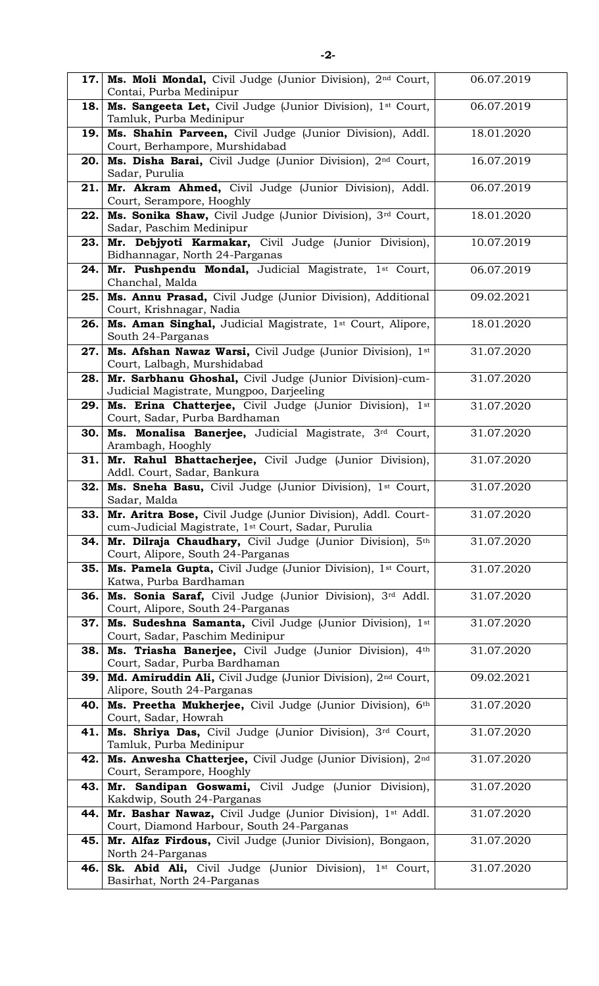|      | 17. Ms. Moli Mondal, Civil Judge (Junior Division), 2nd Court,<br>Contai, Purba Medinipur                                      | 06.07.2019 |
|------|--------------------------------------------------------------------------------------------------------------------------------|------------|
| 18.  | Ms. Sangeeta Let, Civil Judge (Junior Division), 1st Court,<br>Tamluk, Purba Medinipur                                         | 06.07.2019 |
| 19.  | Ms. Shahin Parveen, Civil Judge (Junior Division), Addl.<br>Court, Berhampore, Murshidabad                                     | 18.01.2020 |
| 20.  | Ms. Disha Barai, Civil Judge (Junior Division), 2nd Court,<br>Sadar, Purulia                                                   | 16.07.2019 |
| 21.  | Mr. Akram Ahmed, Civil Judge (Junior Division), Addl.<br>Court, Serampore, Hooghly                                             | 06.07.2019 |
| 22.  | Ms. Sonika Shaw, Civil Judge (Junior Division), 3rd Court,<br>Sadar, Paschim Medinipur                                         | 18.01.2020 |
| 23.  | Mr. Debjyoti Karmakar, Civil Judge (Junior Division),<br>Bidhannagar, North 24-Parganas                                        | 10.07.2019 |
| 24.  | Mr. Pushpendu Mondal, Judicial Magistrate, 1st Court,<br>Chanchal, Malda                                                       | 06.07.2019 |
| 25.  | Ms. Annu Prasad, Civil Judge (Junior Division), Additional<br>Court, Krishnagar, Nadia                                         | 09.02.2021 |
| 26.  | Ms. Aman Singhal, Judicial Magistrate, 1st Court, Alipore,<br>South 24-Parganas                                                | 18.01.2020 |
| 27.  | Ms. Afshan Nawaz Warsi, Civil Judge (Junior Division), 1st<br>Court, Lalbagh, Murshidabad                                      | 31.07.2020 |
| 28.  | Mr. Sarbhanu Ghoshal, Civil Judge (Junior Division)-cum-<br>Judicial Magistrate, Mungpoo, Darjeeling                           | 31.07.2020 |
| 29.  | Ms. Erina Chatterjee, Civil Judge (Junior Division), 1st<br>Court, Sadar, Purba Bardhaman                                      | 31.07.2020 |
| 30.  | Ms. Monalisa Banerjee, Judicial Magistrate, 3rd Court,<br>Arambagh, Hooghly                                                    | 31.07.2020 |
| 31.  | Mr. Rahul Bhattacherjee, Civil Judge (Junior Division),<br>Addl. Court, Sadar, Bankura                                         | 31.07.2020 |
| 32.  | Ms. Sneha Basu, Civil Judge (Junior Division), 1 <sup>st</sup> Court,<br>Sadar, Malda                                          | 31.07.2020 |
| 33.1 | Mr. Aritra Bose, Civil Judge (Junior Division), Addl. Court-<br>cum-Judicial Magistrate, 1 <sup>st</sup> Court, Sadar, Purulia | 31.07.2020 |
| 34.  | Mr. Dilraja Chaudhary, Civil Judge (Junior Division), 5th<br>Court, Alipore, South 24-Parganas                                 | 31.07.2020 |
| 35.  | Ms. Pamela Gupta, Civil Judge (Junior Division), 1 <sup>st</sup> Court,<br>Katwa, Purba Bardhaman                              | 31.07.2020 |
| 36.  | Ms. Sonia Saraf, Civil Judge (Junior Division), 3rd Addl.<br>Court, Alipore, South 24-Parganas                                 | 31.07.2020 |
| 37.  | Ms. Sudeshna Samanta, Civil Judge (Junior Division), 1st<br>Court, Sadar, Paschim Medinipur                                    | 31.07.2020 |
| 38.  | Ms. Triasha Banerjee, Civil Judge (Junior Division),<br>4 <sup>th</sup><br>Court, Sadar, Purba Bardhaman                       | 31.07.2020 |
| 39.  | Md. Amiruddin Ali, Civil Judge (Junior Division), 2 <sup>nd</sup> Court,<br>Alipore, South 24-Parganas                         | 09.02.2021 |
| 40.  | Ms. Preetha Mukherjee, Civil Judge (Junior Division), 6th<br>Court, Sadar, Howrah                                              | 31.07.2020 |
| 41.  | Ms. Shriya Das, Civil Judge (Junior Division), 3rd Court,<br>Tamluk, Purba Medinipur                                           | 31.07.2020 |
| 42.  | Ms. Anwesha Chatterjee, Civil Judge (Junior Division), 2nd<br>Court, Serampore, Hooghly                                        | 31.07.2020 |
| 43.  | Mr. Sandipan Goswami, Civil Judge (Junior Division),<br>Kakdwip, South 24-Parganas                                             | 31.07.2020 |
| 44.  | Mr. Bashar Nawaz, Civil Judge (Junior Division), 1st Addl.<br>Court, Diamond Harbour, South 24-Parganas                        | 31.07.2020 |
| 45.  | Mr. Alfaz Firdous, Civil Judge (Junior Division), Bongaon,                                                                     | 31.07.2020 |
|      | North 24-Parganas<br>Sk. Abid Ali, Civil Judge (Junior Division), 1 <sup>st</sup> Court,                                       | 31.07.2020 |